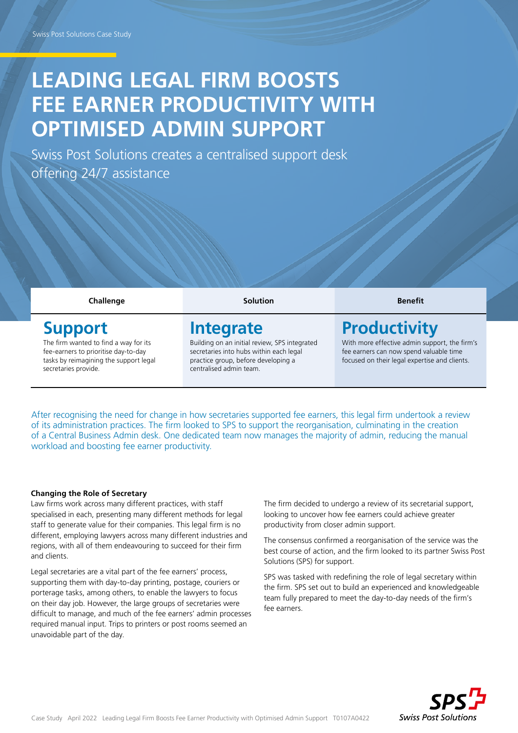# LEADING LEGAL FIRM BOOSTS FEE EARNER PRODUCTIVITY WITH **OPTIMISED ADMIN SUPPORT**

Swiss Post Solutions creates a centralised support desk offering 24/7 assistance

**Challenge Solution Benefit**

ipsum etienne aliat aliut

### **Support**

The firm wanted to find a way for its fee-earners to prioritise day-to-day tasks by reimagining the support legal secretaries provide.

## **Integrate**

Building on an initial review, SPS integrated secretaries into hubs within each legal practice group, before developing a centralised admin team.

# **Productivity**

With more effective admin support, the firm's fee earners can now spend valuable time focused on their legal expertise and clients.

After recognising the need for change in how secretaries supported fee earners, this legal firm undertook a review of its administration practices. The firm looked to SPS to support the reorganisation, culminating in the creation of a Central Business Admin desk. One dedicated team now manages the majority of admin, reducing the manual workload and boosting fee earner productivity.

#### **Changing the Role of Secretary**

Law firms work across many different practices, with staff specialised in each, presenting many different methods for legal staff to generate value for their companies. This legal firm is no different, employing lawyers across many different industries and regions, with all of them endeavouring to succeed for their firm and clients.

Legal secretaries are a vital part of the fee earners' process, supporting them with day-to-day printing, postage, couriers or porterage tasks, among others, to enable the lawyers to focus on their day job. However, the large groups of secretaries were difficult to manage, and much of the fee earners' admin processes required manual input. Trips to printers or post rooms seemed an unavoidable part of the day.

The firm decided to undergo a review of its secretarial support, looking to uncover how fee earners could achieve greater productivity from closer admin support.

The consensus confirmed a reorganisation of the service was the best course of action, and the firm looked to its partner Swiss Post Solutions (SPS) for support.

SPS was tasked with redefining the role of legal secretary within the firm. SPS set out to build an experienced and knowledgeable team fully prepared to meet the day-to-day needs of the firm's fee earners.